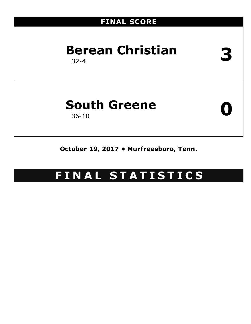### **FINAL SCORE**

# **Berean Christian** 32-4 **3**

# **South Greene** 36-10 **0**

**October 19, 2017 • Murfreesboro, Tenn.**

### **F I N A L S T A T I S T I C S**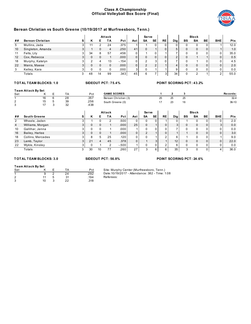#### **Class A Championship Official Volleyball Box Score (Final)**



|                   |                                             |           |   |                |                 | Attack             |                                                 |              | Serve          |                |                |                                 |              | <b>Block</b>   |              |                |                  |
|-------------------|---------------------------------------------|-----------|---|----------------|-----------------|--------------------|-------------------------------------------------|--------------|----------------|----------------|----------------|---------------------------------|--------------|----------------|--------------|----------------|------------------|
| ##                | <b>Berean Christian</b>                     |           | S | Κ              | Е               | <b>TA</b>          | Pct                                             | Ast          | SA             | <b>SE</b>      | <b>RE</b>      | Dig                             | <b>BS</b>    | <b>BA</b>      | <b>BE</b>    | <b>BHE</b>     | <b>Pts</b>       |
| 5                 | Mullins, Jada                               |           | 3 | 11             | $\overline{2}$  | 24                 | .375                                            | $\mathbf{1}$ | $\mathbf{1}$   | $\mathbf 0$    | $\Omega$       | 0                               | $\mathbf 0$  | 0              | $\Omega$     | $\mathbf{1}$   | 12.0             |
| 10                | Singleton, Amanda                           |           | 3 | $\mathbf{1}$   | $\mathbf{0}$    | $\overline{4}$     | .250                                            | 41           | $\mathbf{0}$   | $\mathbf{1}$   | $\mathbf{0}$   | $5\overline{)}$                 | $\mathbf{0}$ | $\mathbf{0}$   | $\Omega$     | $\mathbf{1}$   | 1.0              |
| 11                | Felts, Lily                                 |           | 3 | 34             | 8               | 57                 | .456                                            | $\Omega$     | $\mathbf{1}$   | 0              | 1              | $\overline{7}$                  | $\Omega$     | $\Omega$       | $\Omega$     | $\Omega$       | 35.0             |
| 12                | Cox, Rebecca                                |           | 3 | $\mathbf 0$    | $\mathbf{0}$    | $\mathbf{1}$       | .000                                            | 0            | $\pmb{0}$      | $\mathbf 0$    | $\mathbf 0$    | $\overline{2}$                  | $\mathbf{0}$ | $\mathbf{1}$   | $\mathbf{1}$ | $\pmb{0}$      | 0.5              |
| 18                | Murphy, Katelyn                             |           | 3 | $\overline{2}$ | 4               | 13                 | $-154$                                          | 0            | $\overline{2}$ | 3              | $\Omega$       | $\overline{7}$                  | $\mathbf 0$  | $\mathbf{1}$   | 0            | $\Omega$       | 4.5              |
| 22                | Manis, Maese                                |           | 3 | $\mathbf 0$    | $\Omega$        | $\mathbf 0$        | .000                                            | $\mathbf 0$  | $\overline{2}$ | $\overline{2}$ | $\mathbf{1}$   | $\overline{4}$                  | $\Omega$     | $\Omega$       | $\mathbf 0$  | $\Omega$       | 2.0              |
| 3                 | Kelley, Kara                                |           | 3 | 0              | $\Omega$        | $\Omega$           | .000                                            | 3            | 0              | $\mathbf{1}$   | $\mathbf{1}$   | 9                               | 0            | 0              | 0            | 0              | 0.0              |
|                   | Totals                                      |           | 3 | 48             | 14              | 99                 | .343                                            | 45           | 6              | $\overline{7}$ | $\overline{3}$ | 34                              | $\Omega$     | $\overline{2}$ | $\mathbf{1}$ | $\overline{2}$ | $\frac{1}{55.0}$ |
|                   | <b>TOTAL TEAM BLOCKS: 1.0</b>               |           |   |                |                 | SIDEOUT PCT: 75.4% |                                                 |              |                |                |                | <b>POINT SCORING PCT: 43.2%</b> |              |                |              |                |                  |
|                   |                                             |           |   |                |                 |                    |                                                 |              |                |                |                |                                 |              |                |              |                |                  |
|                   | <b>Team Attack By Set</b>                   |           |   |                |                 |                    |                                                 |              |                |                |                |                                 |              |                |              |                |                  |
| Set               | Е<br>ĸ                                      | <b>TA</b> |   | Pct            |                 | <b>GAME SCORES</b> |                                                 |              |                |                | 1              | $\mathbf{2}$                    | 3            |                |              |                | Records:         |
| $\mathbf{1}$      | 6<br>16                                     | 28<br>39  |   | .357<br>.256   |                 |                    | Berean Christian (3)                            |              |                |                | 25             | 25                              | 25           |                |              |                | $32 - 4$         |
| 2<br>3            | 15<br>5<br>3<br>17                          | 32        |   | .438           |                 |                    | South Greene (0)                                |              |                |                | 17             | 23                              | 16           |                |              |                | $36 - 10$        |
|                   |                                             |           |   |                |                 |                    |                                                 |              |                |                |                |                                 |              |                |              |                |                  |
|                   |                                             |           |   |                |                 | Attack             |                                                 |              | <b>Serve</b>   |                |                |                                 |              | <b>Block</b>   |              |                |                  |
| ##                | <b>South Greene</b>                         |           | s | Κ              | Е               | <b>TA</b>          | Pct                                             | Ast          | SA             | <b>SE</b>      | <b>RE</b>      | <b>Dig</b>                      | <b>BS</b>    | BA             | <b>BE</b>    | <b>BHE</b>     | <b>Pts</b>       |
|                   |                                             |           |   |                |                 |                    |                                                 |              |                |                |                |                                 |              |                |              |                |                  |
| 2                 | Wheele, Jaden                               |           | 3 | $\mathbf{1}$   | $\mathbf 0$     | $\overline{2}$     | .500                                            | 0            | $\mathbf 0$    | $\mathbf 0$    | 1              | $\mathbf 0$                     | $\mathbf{1}$ | 0              | $\mathbf 0$  | 0              | 2.0              |
| $\overline{4}$    | Williams, Morgan                            |           | 3 | $\pmb{0}$      | $\mathbf 0$     | $\mathbf{1}$       | .000                                            | 25           | $\mathbf 0$    | $\mathbf{1}$   | $\mathbf{0}$   | 3                               | $\mathbf 0$  | $\pmb{0}$      | $\mathbf 0$  | 3              | 0.0              |
| 10                | Gallihar, Jenna                             |           | 3 | 0              | $\mathbf 0$     | $\mathbf{1}$       | .000                                            | $\mathbf{1}$ | $\mathbf 0$    | 0              | $\Omega$       | $\overline{7}$                  | $\Omega$     | 0              | $\mathbf 0$  | $\Omega$       | 0.0              |
| 16                | Bailey, Harlee                              |           | 3 | $\mathbf{0}$   | $\mathbf{0}$    | $\mathbf{1}$       | .000                                            | $\mathbf 0$  | $\overline{2}$ | $\mathbf{1}$   | $\mathbf{0}$   | $\mathbf{1}$                    | $\mathbf{1}$ | $\mathbf 0$    | $\mathbf 0$  | $\mathbf{0}$   | 3.0              |
| 18                | Collins, Mercedes                           |           | 3 | 8              | 5               | 25                 | .120                                            | 0            | $\mathbf 0$    | $\mathbf{1}$   | $\overline{2}$ | 6                               | $\mathbf{1}$ | 0              | $\mathbf 0$  | $\mathbf{1}$   | 9.0              |
| 23                | Lamb, Taylor                                |           | 3 | 21             | $\overline{4}$  | 45                 | .378                                            | $\mathbf{0}$ | $\mathbf{1}$   | 3              | $\mathbf{1}$   | 12                              | $\mathbf 0$  | $\mathbf 0$    | $\mathbf 0$  | $\mathbf{0}$   | 22.0             |
| 22                | Wykle, Kinsley                              |           | 3 | 0              | $\mathbf{1}$    | $\overline{2}$     | $-0.500$                                        | $\mathbf{1}$ | 0              | 0              | $\overline{c}$ | 6                               | 0            | $\mathbf 0$    | 0            | 0              | 0.0              |
|                   | Totals                                      |           | 3 | 30             | 10 <sup>1</sup> | 77                 | .260                                            | 27           | 3              | 6              | 6              | 35                              | 3            | $\Omega$       | $\mathbf 0$  | $\overline{4}$ | 36.0             |
|                   | <b>TOTAL TEAM BLOCKS: 3.0</b>               |           |   |                |                 | SIDEOUT PCT: 56.8% |                                                 |              |                |                |                | <b>POINT SCORING PCT: 24.6%</b> |              |                |              |                |                  |
|                   |                                             |           |   |                |                 |                    |                                                 |              |                |                |                |                                 |              |                |              |                |                  |
|                   | <b>Team Attack By Set</b>                   |           |   |                |                 |                    |                                                 |              |                |                |                |                                 |              |                |              |                |                  |
| Set               | Е<br>Κ                                      | <b>TA</b> |   | Pct            |                 |                    | Site: Murphy Center (Murfreesboro, Tenn.)       |              |                |                |                |                                 |              |                |              |                |                  |
| $\mathbf{1}$<br>2 | $\overline{2}$<br>$\overline{9}$<br>5<br>11 | 24<br>31  |   | .292<br>.194   |                 | Referees:          | Date: 10/19/2017 - Attendance: 382 - Time: 1:08 |              |                |                |                |                                 |              |                |              |                |                  |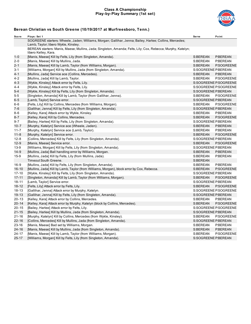#### **Class A Championship Play-by-Play Summary (1st set)**



| Score     | Plays: Set 1                                                                                                                         | <b>Serve</b>        | Point                 |
|-----------|--------------------------------------------------------------------------------------------------------------------------------------|---------------------|-----------------------|
|           | SOGREENE starters: Wheele, Jaden; Williams, Morgan; Gallihar, Jenna; Bailey, Harlee; Collins, Mercedes;                              |                     |                       |
|           | Lamb, Taylor; libero Wykle, Kinsley.                                                                                                 |                     |                       |
|           | BEREAN starters: Manis, Maese; Mullins, Jada; Singleton, Amanda; Felts, Lily; Cox, Rebecca; Murphy, Katelyn;<br>libero Kelley, Kara. |                     |                       |
| $1 - 0$   | [Manis, Maese] Kill by Felts, Lily (from Singleton, Amanda).                                                                         | S:BEREAN            | P:BEREAN              |
| $2 - 0$   | [Manis, Maese] Kill by Mullins, Jada.                                                                                                | S:BEREAN            | P:BEREAN              |
| $2 - 1$   | [Manis, Maese] Kill by Lamb, Taylor (from Williams, Morgan).                                                                         | S:BEREAN            | P:SOGREENE            |
| 3-1       | [Williams, Morgan] Kill by Mullins, Jada (from Singleton, Amanda).                                                                   | S:SOGREENE P:BEREAN |                       |
| $4 - 1$   | [Mullins, Jada] Service ace (Collins, Mercedes).                                                                                     | S:BEREAN            | P:BEREAN              |
| $4 - 2$   | [Mullins, Jada] Kill by Lamb, Taylor.                                                                                                | S:BEREAN            | P:SOGREENE            |
| $4 - 3$   | [Wykle, Kinsley] Attack error by Felts, Lily.                                                                                        |                     | S:SOGREENE P:SOGREENE |
| 4-4       | [Wykle, Kinsley] Attack error by Felts, Lily.                                                                                        |                     | S:SOGREENE P:SOGREENE |
| $5 - 4$   | [Wykle, Kinsley] Kill by Felts, Lily (from Singleton, Amanda).                                                                       | S:SOGREENE P:BEREAN |                       |
| 5-5       | [Singleton, Amanda] Kill by Lamb, Taylor (from Gallihar, Jenna).                                                                     | S:BEREAN            | P:SOGREENE            |
| $6 - 5$   | [Lamb, Taylor] Service error.                                                                                                        | S:SOGREENE P:BEREAN |                       |
| $6-6$     | [Felts, Lily] Kill by Collins, Mercedes (from Williams, Morgan).                                                                     | S:BEREAN            | P:SOGREENE            |
| $7 - 6$   | [Gallihar, Jenna] Kill by Felts, Lily (from Singleton, Amanda).                                                                      | S:SOGREENE P:BEREAN |                       |
| $8 - 6$   | [Kelley, Kara] Attack error by Wykle, Kinsley.                                                                                       | S:BEREAN            | P:BEREAN              |
| $8 - 7$   | [Kelley, Kara] Kill by Collins, Mercedes.                                                                                            | S:BEREAN            | P:SOGREENE            |
| $9 - 7$   | [Bailey, Harlee] Kill by Felts, Lily (from Singleton, Amanda).                                                                       | S:SOGREENE P:BEREAN |                       |
| $10 - 7$  | [Murphy, Katelyn] Service ace (Wheele, Jaden).                                                                                       | S:BEREAN            | P:BEREAN              |
| $11 - 7$  | [Murphy, Katelyn] Service ace (Lamb, Taylor).                                                                                        | S:BEREAN            | P:BEREAN              |
| $11 - 8$  | [Murphy, Katelyn] Service error.                                                                                                     | S:BEREAN            | P:SOGREENE            |
| $12 - 8$  | [Collins, Mercedes] Kill by Felts, Lily (from Singleton, Amanda).                                                                    | S:SOGREENE P:BEREAN |                       |
| $12 - 9$  | [Manis, Maese] Service error.                                                                                                        | S:BEREAN            | P:SOGREENE            |
| $13 - 9$  | [Williams, Morgan] Kill by Felts, Lily (from Singleton, Amanda).                                                                     | S:SOGREENE P:BEREAN |                       |
| $14-9$    | [Mullins, Jada] Ball handling error by Williams, Morgan.                                                                             | S:BEREAN            | P:BEREAN              |
| $15-9$    | [Mullins, Jada] Kill by Felts, Lily (from Mullins, Jada).                                                                            | S:BEREAN            | P:BEREAN              |
|           | Timeout South Greene.                                                                                                                | S:BEREAN            |                       |
| $16-9$    | [Mullins, Jada] Kill by Felts, Lily (from Singleton, Amanda).                                                                        | S:BEREAN            | P:BEREAN              |
| $16 - 10$ | [Mullins, Jada] Kill by Lamb, Taylor (from Williams, Morgan), block error by Cox, Rebecca.                                           | S:BEREAN            | P:SOGREENE            |
| $17 - 10$ | [Wykle, Kinsley] Kill by Felts, Lily (from Singleton, Amanda).                                                                       | S:SOGREENE P:BEREAN |                       |
| $17 - 11$ | [Singleton, Amanda] Kill by Lamb, Taylor (from Williams, Morgan).                                                                    | S:BEREAN            | P:SOGREENE            |
| $18 - 11$ | [Lamb, Taylor] Service error.                                                                                                        | S:SOGREENE P:BEREAN |                       |
| $18 - 12$ | [Felts, Lily] Attack error by Felts, Lily.                                                                                           | S:BEREAN            | P:SOGREENE            |
| $18 - 13$ | [Gallihar, Jenna] Attack error by Murphy, Katelyn.                                                                                   |                     | S:SOGREENE P:SOGREENE |
| $19 - 13$ | [Gallihar, Jenna] Kill by Felts, Lily (from Singleton, Amanda).                                                                      | S:SOGREENE P:BEREAN |                       |
| $20 - 13$ | [Kelley, Kara] Attack error by Collins, Mercedes.                                                                                    | S:BEREAN            | P:BEREAN              |
| $20 - 14$ | [Kelley, Kara] Attack error by Murphy, Katelyn (block by Collins, Mercedes).                                                         | S:BEREAN            | P:SOGREENE            |
| $20 - 15$ | [Bailey, Harlee] Attack error by Felts, Lily.                                                                                        |                     | S:SOGREENE P:SOGREENE |
| $21 - 15$ | [Bailey, Harlee] Kill by Mullins, Jada (from Singleton, Amanda).                                                                     | S:SOGREENE P:BEREAN |                       |
| $21 - 16$ | [Murphy, Katelyn] Kill by Collins, Mercedes (from Wykle, Kinsley).                                                                   | S:BEREAN            | P:SOGREENE            |
| $22 - 16$ | [Collins, Mercedes] Kill by Mullins, Jada (from Singleton, Amanda).                                                                  | S:SOGREENE P:BEREAN |                       |
| $23 - 16$ | [Manis, Maese] Bad set by Williams, Morgan.                                                                                          | S:BEREAN            | P:BEREAN              |
| $24 - 16$ | [Manis, Maese] Kill by Mullins, Jada (from Singleton, Amanda).                                                                       | S:BEREAN            | P:BEREAN              |
| $24 - 17$ | [Manis, Maese] Kill by Lamb, Taylor (from Williams, Morgan).                                                                         | S:BEREAN            | P:SOGREENE            |
| $25 - 17$ | [Williams, Morgan] Kill by Felts, Lily (from Singleton, Amanda).                                                                     | S:SOGREENE P:BEREAN |                       |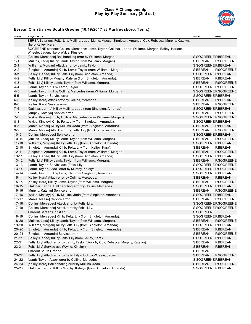#### **Class A Championship Play-by-Play Summary (2nd set)**



| Score     | Plays: Set 2                                                                                                                                    | Serve               | Point                 |
|-----------|-------------------------------------------------------------------------------------------------------------------------------------------------|---------------------|-----------------------|
|           | BEREAN starters: Felts, Lily; Mullins, Jada; Manis, Maese; Singleton, Amanda; Cox, Rebecca; Murphy, Katelyn;<br>libero Kelley, Kara.            |                     |                       |
|           | SOGREENE starters: Collins, Mercedes; Lamb, Taylor; Gallihar, Jenna; Williams, Morgan; Bailey, Harlee;<br>Wheele, Jaden; libero Wykle, Kinsley. |                     |                       |
| $1 - 0$   | [Collins, Mercedes] Ball handling error by Williams, Morgan.                                                                                    | S:SOGREENE P:BEREAN |                       |
| $1 - 1$   | [Mullins, Jada] Kill by Lamb, Taylor (from Williams, Morgan).                                                                                   | S:BEREAN            | P:SOGREENE            |
| $2 - 1$   | [Williams, Morgan] Attack error by Lamb, Taylor.                                                                                                | S:SOGREENE P:BEREAN |                       |
| $2 - 2$   | [Singleton, Amanda] Kill by Lamb, Taylor (from Williams, Morgan).                                                                               | S:BEREAN            | P:SOGREENE            |
| $3 - 2$   | [Bailey, Harlee] Kill by Felts, Lily (from Singleton, Amanda).                                                                                  | S:SOGREENE P:BEREAN |                       |
| $4 - 2$   | [Felts, Lily] Kill by Murphy, Katelyn (from Singleton, Amanda).                                                                                 | S:BEREAN            | P:BEREAN              |
| $4 - 3$   | [Felts, Lily] Kill by Lamb, Taylor (from Williams, Morgan).                                                                                     | S:BEREAN            | P:SOGREENE            |
| $4 - 4$   | [Lamb, Taylor] Kill by Lamb, Taylor.                                                                                                            |                     | S:SOGREENE P:SOGREENE |
| $4 - 5$   | [Lamb, Taylor] Kill by Collins, Mercedes (from Williams, Morgan).                                                                               |                     | S:SOGREENE P:SOGREENE |
| $5-5$     | [Lamb, Taylor] Service error.                                                                                                                   | S:SOGREENE P:BEREAN |                       |
| $6 - 5$   | [Kelley, Kara] Attack error by Collins, Mercedes.                                                                                               | S:BEREAN            | P:BEREAN              |
| $6-6$     | [Kelley, Kara] Service error.                                                                                                                   | S:BEREAN            | P:SOGREENE            |
| $7 - 6$   | [Gallihar, Jenna] Kill by Mullins, Jada (from Singleton, Amanda).                                                                               | S:SOGREENE P:BEREAN |                       |
| 7-7       | [Murphy, Katelyn] Service error.                                                                                                                | S:BEREAN            | P:SOGREENE            |
| $7 - 8$   | [Wykle, Kinsley] Kill by Collins, Mercedes (from Williams, Morgan).                                                                             |                     | S:SOGREENE P:SOGREENE |
| $8 - 8$   | [Wykle, Kinsley] Kill by Felts, Lily (from Singleton, Amanda).                                                                                  | S:SOGREENE P:BEREAN |                       |
| $9 - 8$   | [Manis, Maese] Kill by Mullins, Jada (from Singleton, Amanda).                                                                                  | S:BEREAN            | P:BEREAN              |
| $9 - 9$   | [Manis, Maese] Attack error by Felts, Lily (block by Bailey, Harlee).                                                                           | S:BEREAN            | P:SOGREENE            |
| $10 - 9$  | [Collins, Mercedes] Service error.                                                                                                              | S:SOGREENE P:BEREAN |                       |
| $10 - 10$ | [Mullins, Jada] Kill by Lamb, Taylor (from Williams, Morgan).                                                                                   | S:BEREAN            | P:SOGREENE            |
| $11 - 10$ | [Williams, Morgan] Kill by Felts, Lily (from Singleton, Amanda).                                                                                | S:SOGREENE P:BEREAN |                       |
| $12 - 10$ | [Singleton, Amanda] Kill by Felts, Lily (from Kelley, Kara).                                                                                    | S:BEREAN            | P:BEREAN              |
| $12 - 11$ | [Singleton, Amanda] Kill by Lamb, Taylor (from Williams, Morgan).                                                                               | S:BEREAN            | P:SOGREENE            |
| $13 - 11$ | [Bailey, Harlee] Kill by Felts, Lily (from Singleton, Amanda).                                                                                  | S:SOGREENE P:BEREAN |                       |
| $13 - 12$ | [Felts, Lily] Kill by Lamb, Taylor (from Williams, Morgan).                                                                                     | S:BEREAN            | P:SOGREENE            |
| $13 - 13$ | [Lamb, Taylor] Service ace (Felts, Lily).                                                                                                       |                     | S:SOGREENE P:SOGREENE |
| $13 - 14$ | [Lamb, Taylor] Attack error by Murphy, Katelyn.                                                                                                 |                     | S:SOGREENE P:SOGREENE |
| $14 - 14$ | [Lamb, Taylor] Kill by Felts, Lily (from Singleton, Amanda).                                                                                    | S:SOGREENE P:BEREAN |                       |
| $15 - 14$ | [Kelley, Kara] Attack error by Collins, Mercedes.                                                                                               | S:BEREAN            | P:BEREAN              |
| $15 - 15$ | [Kelley, Kara] Kill by Lamb, Taylor (from Williams, Morgan).                                                                                    | S:BEREAN            | P:SOGREENE            |
| $16 - 15$ | [Gallihar, Jenna] Ball handling error by Collins, Mercedes.                                                                                     | S:SOGREENE P:BEREAN |                       |
| $16 - 16$ | [Murphy, Katelyn] Service error.                                                                                                                | S:BEREAN            | P:SOGREENE            |
| $17 - 16$ | [Wykle, Kinsley] Kill by Mullins, Jada (from Singleton, Amanda).                                                                                | S:SOGREENE P:BEREAN |                       |
| $17 - 17$ | [Manis, Maese] Service error.                                                                                                                   | S:BEREAN            | P:SOGREENE            |
| $17 - 18$ | [Collins, Mercedes] Attack error by Felts, Lily.                                                                                                |                     | S:SOGREENE P:SOGREENE |
| $17 - 19$ | [Collins, Mercedes] Attack error by Felts, Lily.                                                                                                |                     | S:SOGREENE P:SOGREENE |
|           | Timeout Berean Christian.                                                                                                                       | S:SOGREENE          |                       |
| 18-19     | [Collins, Mercedes] Kill by Felts, Lily (from Singleton, Amanda).                                                                               | S:SOGREENE P:BEREAN |                       |
| 18-20     | [Mullins, Jada] Kill by Lamb, Taylor (from Williams, Morgan).                                                                                   | S:BEREAN            | P:SOGREENE            |
| 19-20     | [Williams, Morgan] Kill by Felts, Lily (from Singleton, Amanda).                                                                                | S:SOGREENE P:BEREAN |                       |
| $20 - 20$ | [Singleton, Amanda] Kill by Felts, Lily (from Singleton, Amanda).                                                                               | S:BEREAN            | P:BEREAN              |
| $20 - 21$ | [Singleton, Amanda] Service error.                                                                                                              | S:BEREAN            | P:SOGREENE            |
| $21 - 21$ | [Bailey, Harlee] Kill by Felts, Lily (from Kelley, Kara).                                                                                       | S:SOGREENE P:BEREAN |                       |
| $22 - 21$ | [Felts, Lily] Attack error by Lamb, Taylor (block by Cox, Rebecca; Murphy, Katelyn).                                                            | S:BEREAN            | P:BEREAN              |
| $23 - 21$ | [Felts, Lily] Service ace (Wykle, Kinsley).                                                                                                     | S:BEREAN            | P:BEREAN              |
|           | Timeout South Greene.                                                                                                                           | S:BEREAN            |                       |
| 23-22     | [Felts, Lily] Attack error by Felts, Lily (block by Wheele, Jaden).                                                                             | S:BEREAN            | P:SOGREENE            |
| 24-22     | [Lamb, Taylor] Attack error by Collins, Mercedes.                                                                                               | S:SOGREENE P:BEREAN |                       |
| 24-23     | [Kelley, Kara] Ball handling error by Mullins, Jada.                                                                                            | S:BEREAN            | P:SOGREENE            |
| 25-23     | [Gallihar, Jenna] Kill by Murphy, Katelyn (from Singleton, Amanda).                                                                             | S:SOGREENE P:BEREAN |                       |